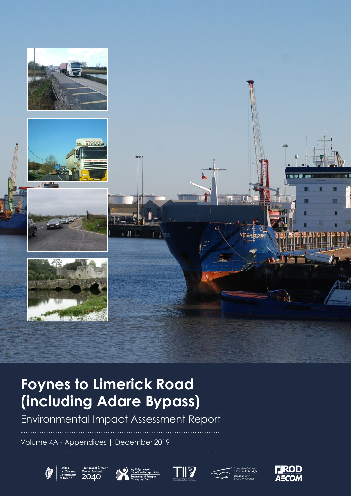

# **Foynes to Limerick Road (including Adare Bypass)**

Environmental Impact Assessment Report

Volume 4A - Appendices | December 2019











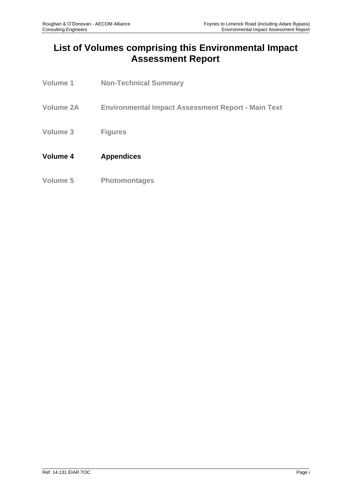### **List of Volumes comprising this Environmental Impact Assessment Report**

- **Volume 1 Non-Technical Summary**
- **Volume 2A Environmental Impact Assessment Report - Main Text**
- **Volume 3 Figures**
- **Volume 4 Appendices**
- **Volume 5 Photomontages**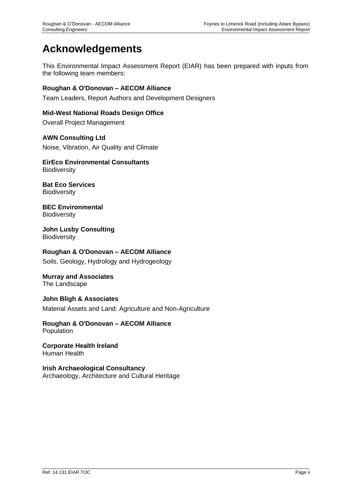## **Acknowledgements**

This Environmental Impact Assessment Report (EIAR) has been prepared with inputs from the following team members:

#### **Roughan & O'Donovan – AECOM Alliance**

Team Leaders, Report Authors and Development Designers

**Mid-West National Roads Design Office**

Overall Project Management

**AWN Consulting Ltd** Noise, Vibration, Air Quality and Climate

**EirEco Environmental Consultants Biodiversity** 

**Bat Eco Services Biodiversity** 

**BEC Environmental Biodiversity** 

**John Lusby Consulting Biodiversity** 

# **Roughan & O'Donovan – AECOM Alliance**

Soils, Geology, Hydrology and Hydrogeology

**Murray and Associates** The Landscape

**John Bligh & Associates** Material Assets and Land: Agriculture and Non-Agriculture

#### **Roughan & O'Donovan – AECOM Alliance** Population

**Corporate Health Ireland** Human Health

**Irish Archaeological Consultancy**  Archaeology, Architecture and Cultural Heritage